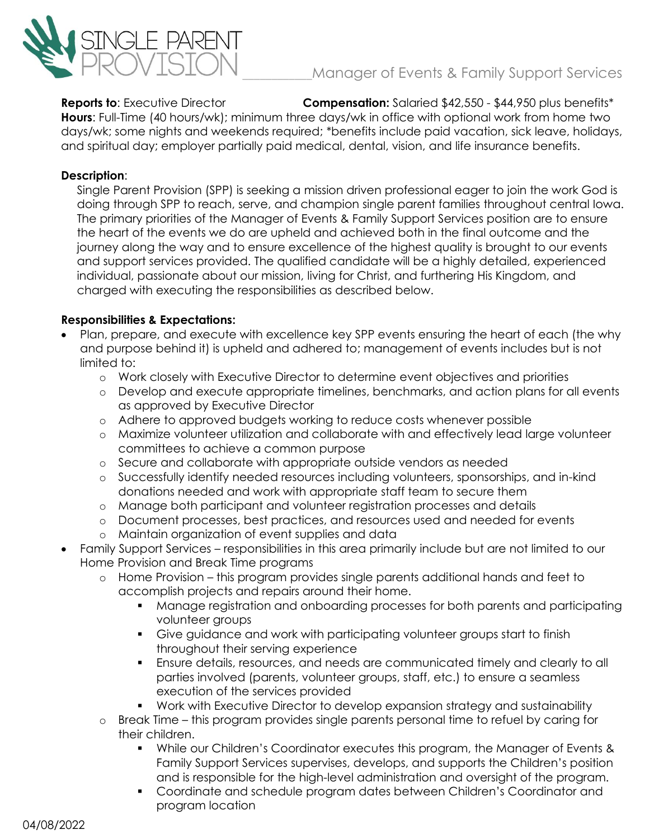

# Manager of Events & Family Support Services

**Reports to**: Executive Director **Compensation:** Salaried \$42,550 - \$44,950 plus benefits\* **Hours**: Full-Time (40 hours/wk); minimum three days/wk in office with optional work from home two days/wk; some nights and weekends required; \*benefits include paid vacation, sick leave, holidays, and spiritual day; employer partially paid medical, dental, vision, and life insurance benefits.

### **Description**:

Single Parent Provision (SPP) is seeking a mission driven professional eager to join the work God is doing through SPP to reach, serve, and champion single parent families throughout central Iowa. The primary priorities of the Manager of Events & Family Support Services position are to ensure the heart of the events we do are upheld and achieved both in the final outcome and the journey along the way and to ensure excellence of the highest quality is brought to our events and support services provided. The qualified candidate will be a highly detailed, experienced individual, passionate about our mission, living for Christ, and furthering His Kingdom, and charged with executing the responsibilities as described below.

### **Responsibilities & Expectations:**

- Plan, prepare, and execute with excellence key SPP events ensuring the heart of each (the why and purpose behind it) is upheld and adhered to; management of events includes but is not limited to:
	- o Work closely with Executive Director to determine event objectives and priorities
	- o Develop and execute appropriate timelines, benchmarks, and action plans for all events as approved by Executive Director
	- o Adhere to approved budgets working to reduce costs whenever possible
	- o Maximize volunteer utilization and collaborate with and effectively lead large volunteer committees to achieve a common purpose
	- o Secure and collaborate with appropriate outside vendors as needed
	- o Successfully identify needed resources including volunteers, sponsorships, and in-kind donations needed and work with appropriate staff team to secure them
	- o Manage both participant and volunteer registration processes and details
	- o Document processes, best practices, and resources used and needed for events
	- o Maintain organization of event supplies and data
- Family Support Services responsibilities in this area primarily include but are not limited to our Home Provision and Break Time programs
	- o Home Provision this program provides single parents additional hands and feet to accomplish projects and repairs around their home.
		- Manage registration and onboarding processes for both parents and participating volunteer groups
		- Give guidance and work with participating volunteer groups start to finish throughout their serving experience
		- Ensure details, resources, and needs are communicated timely and clearly to all parties involved (parents, volunteer groups, staff, etc.) to ensure a seamless execution of the services provided
		- Work with Executive Director to develop expansion strategy and sustainability
	- o Break Time this program provides single parents personal time to refuel by caring for their children.
		- While our Children's Coordinator executes this program, the Manager of Events & Family Support Services supervises, develops, and supports the Children's position and is responsible for the high-level administration and oversight of the program.
		- Coordinate and schedule program dates between Children's Coordinator and program location